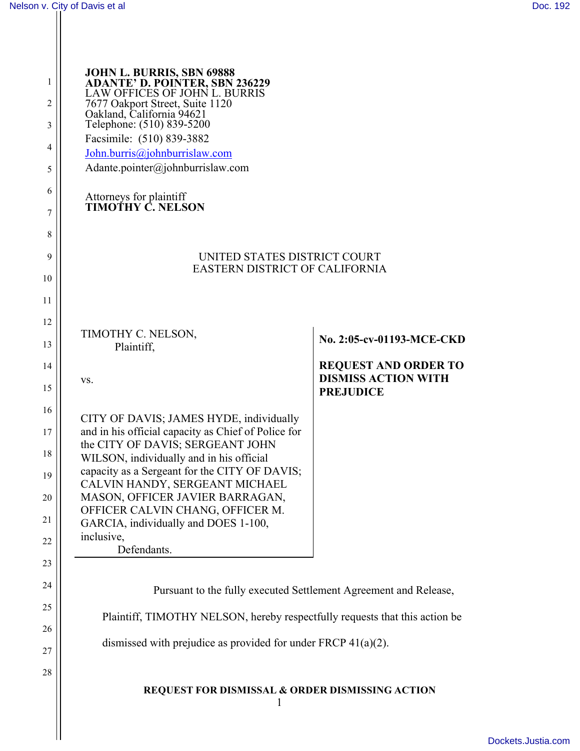Ш

| 1<br>2<br>3<br>4<br>5<br>6<br>7                                | <b>JOHN L. BURRIS, SBN 69888</b><br><b>ADANTE' D. POINTER, SBN 236229</b><br>LAW OFFICES OF JOHN L. BURRIS<br>7677 Oakport Street, Suite 1120<br>Oakland, California 94621<br>Telephone: (510) 839-5200<br>Facsimile: (510) 839-3882<br>John.burris@johnburrislaw.com<br>Adante.pointer@johnburrislaw.com<br><b>Attorneys for plaintiff<br/>TIMOTHY C. NELSON</b>                                                                                        |                                                                                                            |
|----------------------------------------------------------------|----------------------------------------------------------------------------------------------------------------------------------------------------------------------------------------------------------------------------------------------------------------------------------------------------------------------------------------------------------------------------------------------------------------------------------------------------------|------------------------------------------------------------------------------------------------------------|
| 8<br>9<br>10<br>11                                             | UNITED STATES DISTRICT COURT<br>EASTERN DISTRICT OF CALIFORNIA                                                                                                                                                                                                                                                                                                                                                                                           |                                                                                                            |
| 12<br>13<br>14<br>15<br>16<br>17<br>18<br>19<br>20<br>21<br>22 | TIMOTHY C. NELSON,<br>Plaintiff,<br>VS.<br>CITY OF DAVIS; JAMES HYDE, individually<br>and in his official capacity as Chief of Police for<br>the CITY OF DAVIS; SERGEANT JOHN<br>WILSON, individually and in his official<br>capacity as a Sergeant for the CITY OF DAVIS;<br>CALVIN HANDY, SERGEANT MICHAEL<br>MASON, OFFICER JAVIER BARRAGAN,<br>OFFICER CALVIN CHANG, OFFICER M.<br>GARCIA, individually and DOES 1-100,<br>inclusive,<br>Defendants. | No. 2:05-cv-01193-MCE-CKD<br><b>REQUEST AND ORDER TO</b><br><b>DISMISS ACTION WITH</b><br><b>PREJUDICE</b> |
| 23<br>24<br>25<br>26<br>27<br>28                               | Pursuant to the fully executed Settlement Agreement and Release,<br>Plaintiff, TIMOTHY NELSON, hereby respectfully requests that this action be<br>dismissed with prejudice as provided for under FRCP $41(a)(2)$ .<br><b>REQUEST FOR DISMISSAL &amp; ORDER DISMISSING ACTION</b><br>1                                                                                                                                                                   |                                                                                                            |